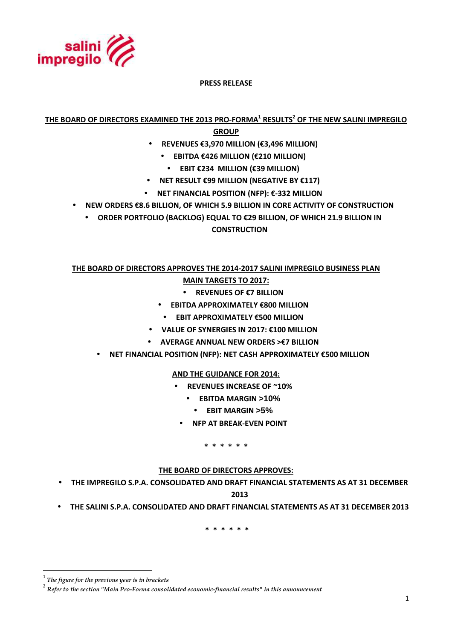

**PRESS RELEASE** 

**THE BOARD OF DIRECTORS EXAMINED THE 2013 PRO-FORMA<sup>1</sup> RESULTS<sup>2</sup> OF THE NEW SALINI IMPREGILO** 

**GROUP**

- **REVENUES €3,970 MILLION (€3,496 MILLION)**
	- **EBITDA €426 MILLION (€210 MILLION)** 
		- **EBIT €234 MILLION (€39 MILLION)**
- **NET RESULT €99 MILLION (NEGATIVE BY €117)**
- **NET FINANCIAL POSITION (NFP): €-332 MILLION**
- **NEW ORDERS €8.6 BILLION, OF WHICH 5.9 BILLION IN CORE ACTIVITY OF CONSTRUCTION**
	- **ORDER PORTFOLIO (BACKLOG) EQUAL TO €29 BILLION, OF WHICH 21.9 BILLION IN CONSTRUCTION**

# **THE BOARD OF DIRECTORS APPROVES THE 2014-2017 SALINI IMPREGILO BUSINESS PLAN MAIN TARGETS TO 2017:**

- **REVENUES OF €7 BILLION**
- **EBITDA APPROXIMATELY €800 MILLION**
- **EBIT APPROXIMATELY €500 MILLION**
- **VALUE OF SYNERGIES IN 2017: €100 MILLION**
- **AVERAGE ANNUAL NEW ORDERS >€7 BILLION**
- **NET FINANCIAL POSITION (NFP): NET CASH APPROXIMATELY €500 MILLION**

# **AND THE GUIDANCE FOR 2014:**

- **REVENUES INCREASE OF ~10%** 
	- **EBITDA MARGIN >10%**
	- **EBIT MARGIN >5%**
- **NFP AT BREAK-EVEN POINT**

**\* \* \* \* \* \*** 

### **THE BOARD OF DIRECTORS APPROVES:**

• **THE IMPREGILO S.P.A. CONSOLIDATED AND DRAFT FINANCIAL STATEMENTS AS AT 31 DECEMBER** 

**2013** 

• **THE SALINI S.P.A. CONSOLIDATED AND DRAFT FINANCIAL STATEMENTS AS AT 31 DECEMBER 2013** 

 **\* \* \* \* \* \*** 

 $\overline{a}$ 

<sup>1</sup>  *The figure for the previous year is in brackets*

<sup>2</sup> *Refer to the section "Main Pro-Forma consolidated economic-financial results" in this announcement*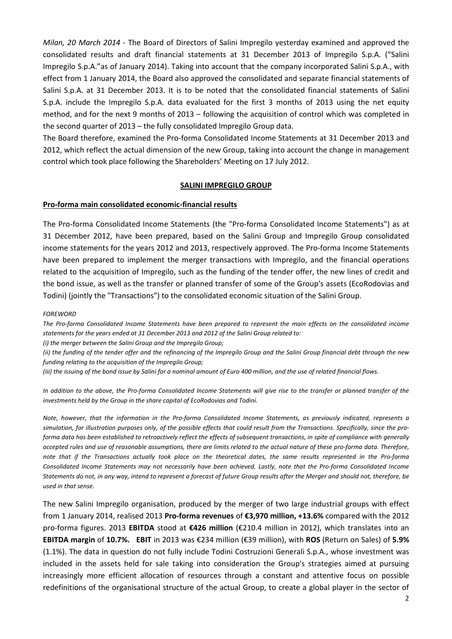*Milan, 20 March 2014* - The Board of Directors of Salini Impregilo yesterday examined and approved the consolidated results and draft financial statements at 31 December 2013 of Impregilo S.p.A. ("Salini Impregilo S.p.A."as of January 2014). Taking into account that the company incorporated Salini S.p.A., with effect from 1 January 2014, the Board also approved the consolidated and separate financial statements of Salini S.p.A. at 31 December 2013. It is to be noted that the consolidated financial statements of Salini S.p.A. include the Impregilo S.p.A. data evaluated for the first 3 months of 2013 using the net equity method, and for the next 9 months of 2013 – following the acquisition of control which was completed in the second quarter of 2013 – the fully consolidated Impregilo Group data.

The Board therefore, examined the Pro-forma Consolidated Income Statements at 31 December 2013 and 2012, which reflect the actual dimension of the new Group, taking into account the change in management control which took place following the Shareholders' Meeting on 17 July 2012.

### **SALINI IMPREGILO GROUP**

### **Pro-forma main consolidated economic-financial results**

The Pro-forma Consolidated Income Statements (the "Pro-forma Consolidated Income Statements") as at 31 December 2012, have been prepared, based on the Salini Group and Impregilo Group consolidated income statements for the years 2012 and 2013, respectively approved. The Pro-forma Income Statements have been prepared to implement the merger transactions with Impregilo, and the financial operations related to the acquisition of Impregilo, such as the funding of the tender offer, the new lines of credit and the bond issue, as well as the transfer or planned transfer of some of the Group's assets (EcoRodovias and Todini) (jointly the "Transactions") to the consolidated economic situation of the Salini Group.

#### *FOREWORD*

*The Pro-forma Consolidated Income Statements have been prepared to represent the main effects on the consolidated income statements for the years ended at 31 December 2013 and 2012 of the Salini Group related to:* 

*(i) the merger between the Salini Group and the Impregilo Group;* 

*(ii) the funding of the tender offer and the refinancing of the Impregilo Group and the Salini Group financial debt through the new funding relating to the acquisition of the Impregilo Group;* 

*(iii) the issuing of the bond issue by Salini for a nominal amount of Euro 400 million, and the use of related financial flows.* 

*In addition to the above, the Pro-forma Consolidated Income Statements will give rise to the transfer or planned transfer of the investments held by the Group in the share capital of EcoRodovias and Todini.* 

*Note, however, that the information in the Pro-forma Consolidated Income Statements, as previously indicated, represents a simulation, for illustration purposes only, of the possible effects that could result from the Transactions. Specifically, since the proforma data has been established to retroactively reflect the effects of subsequent transactions, in spite of compliance with generally accepted rules and use of reasonable assumptions, there are limits related to the actual nature of these pro-forma data. Therefore, note that if the Transactions actually took place on the theoretical dates, the same results represented in the Pro-forma Consolidated Income Statements may not necessarily have been achieved. Lastly, note that the Pro-forma Consolidated Income Statements do not, in any way, intend to represent a forecast of future Group results after the Merger and should not, therefore, be used in that sense.* 

The new Salini Impregilo organisation, produced by the merger of two large industrial groups with effect from 1 January 2014, realised 2013 **Pro-forma revenues** of **€3,970 million, +13.6%** compared with the 2012 pro-forma figures. 2013 **EBITDA** stood at **€426 million** (€210.4 million in 2012), which translates into an **EBITDA margin** of **10.7%. EBIT** in 2013 was €234 million (€39 million), with **ROS** (Return on Sales) of **5.9%** (1.1%). The data in question do not fully include Todini Costruzioni Generali S.p.A., whose investment was included in the assets held for sale taking into consideration the Group's strategies aimed at pursuing increasingly more efficient allocation of resources through a constant and attentive focus on possible redefinitions of the organisational structure of the actual Group, to create a global player in the sector of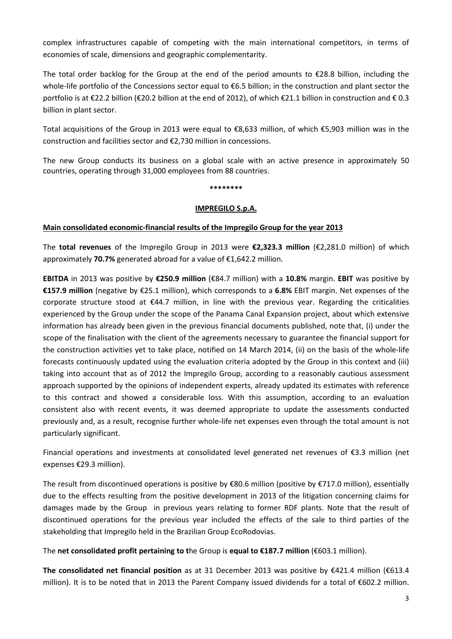complex infrastructures capable of competing with the main international competitors, in terms of economies of scale, dimensions and geographic complementarity.

The total order backlog for the Group at the end of the period amounts to  $\epsilon$ 28.8 billion, including the whole-life portfolio of the Concessions sector equal to €6.5 billion; in the construction and plant sector the portfolio is at €22.2 billion (€20.2 billion at the end of 2012), of which €21.1 billion in construction and €0.3 billion in plant sector.

Total acquisitions of the Group in 2013 were equal to €8,633 million, of which €5,903 million was in the construction and facilities sector and €2,730 million in concessions.

The new Group conducts its business on a global scale with an active presence in approximately 50 countries, operating through 31,000 employees from 88 countries.

#### **\*\*\*\*\*\*\*\***

### **IMPREGILO S.p.A.**

### **Main consolidated economic-financial results of the Impregilo Group for the year 2013**

The **total revenues** of the Impregilo Group in 2013 were **€2,323.3 million** (€2,281.0 million) of which approximately **70.7%** generated abroad for a value of €1,642.2 million.

**EBITDA** in 2013 was positive by **€250.9 million** (€84.7 million) with a **10.8%** margin. **EBIT** was positive by **€157.9 million** (negative by €25.1 million), which corresponds to a **6.8%** EBIT margin. Net expenses of the corporate structure stood at  $\epsilon$ 44.7 million, in line with the previous year. Regarding the criticalities experienced by the Group under the scope of the Panama Canal Expansion project, about which extensive information has already been given in the previous financial documents published, note that, (i) under the scope of the finalisation with the client of the agreements necessary to guarantee the financial support for the construction activities yet to take place, notified on 14 March 2014, (ii) on the basis of the whole-life forecasts continuously updated using the evaluation criteria adopted by the Group in this context and (iii) taking into account that as of 2012 the Impregilo Group, according to a reasonably cautious assessment approach supported by the opinions of independent experts, already updated its estimates with reference to this contract and showed a considerable loss. With this assumption, according to an evaluation consistent also with recent events, it was deemed appropriate to update the assessments conducted previously and, as a result, recognise further whole-life net expenses even through the total amount is not particularly significant.

Financial operations and investments at consolidated level generated net revenues of €3.3 million (net expenses €29.3 million).

The result from discontinued operations is positive by €80.6 million (positive by €717.0 million), essentially due to the effects resulting from the positive development in 2013 of the litigation concerning claims for damages made by the Group in previous years relating to former RDF plants. Note that the result of discontinued operations for the previous year included the effects of the sale to third parties of the stakeholding that Impregilo held in the Brazilian Group EcoRodovias.

The **net consolidated profit pertaining to t**he Group is **equal to €187.7 million** (€603.1 million).

**The consolidated net financial position** as at 31 December 2013 was positive by €421.4 million (€613.4 million). It is to be noted that in 2013 the Parent Company issued dividends for a total of €602.2 million.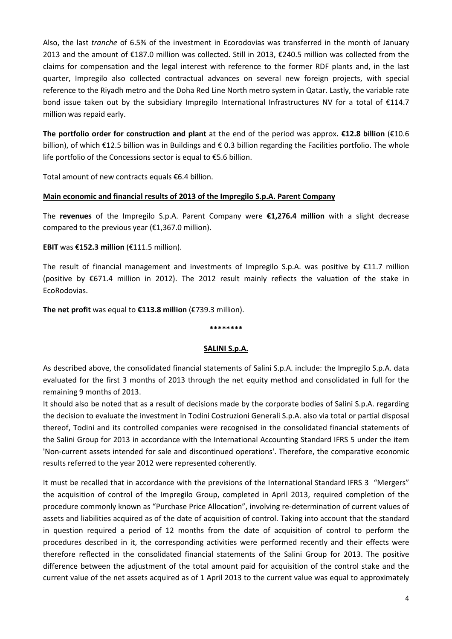Also, the last *tranche* of 6.5% of the investment in Ecorodovias was transferred in the month of January 2013 and the amount of €187.0 million was collected. Still in 2013, €240.5 million was collected from the claims for compensation and the legal interest with reference to the former RDF plants and, in the last quarter, Impregilo also collected contractual advances on several new foreign projects, with special reference to the Riyadh metro and the Doha Red Line North metro system in Qatar. Lastly, the variable rate bond issue taken out by the subsidiary Impregilo International Infrastructures NV for a total of €114.7 million was repaid early.

**The portfolio order for construction and plant** at the end of the period was approx**. €12.8 billion** (€10.6 billion), of which €12.5 billion was in Buildings and € 0.3 billion regarding the Facilities portfolio. The whole life portfolio of the Concessions sector is equal to €5.6 billion.

Total amount of new contracts equals €6.4 billion.

## **Main economic and financial results of 2013 of the Impregilo S.p.A. Parent Company**

The **revenues** of the Impregilo S.p.A. Parent Company were **€1,276.4 million** with a slight decrease compared to the previous year (€1,367.0 million).

## **EBIT** was **€152.3 million** (€111.5 million).

The result of financial management and investments of Impregilo S.p.A. was positive by €11.7 million (positive by €671.4 million in 2012). The 2012 result mainly reflects the valuation of the stake in EcoRodovias.

**The net profit** was equal to **€113.8 million** (€739.3 million).

### **\*\*\*\*\*\*\*\***

### **SALINI S.p.A.**

As described above, the consolidated financial statements of Salini S.p.A. include: the Impregilo S.p.A. data evaluated for the first 3 months of 2013 through the net equity method and consolidated in full for the remaining 9 months of 2013.

It should also be noted that as a result of decisions made by the corporate bodies of Salini S.p.A. regarding the decision to evaluate the investment in Todini Costruzioni Generali S.p.A. also via total or partial disposal thereof, Todini and its controlled companies were recognised in the consolidated financial statements of the Salini Group for 2013 in accordance with the International Accounting Standard IFRS 5 under the item 'Non-current assets intended for sale and discontinued operations'. Therefore, the comparative economic results referred to the year 2012 were represented coherently.

It must be recalled that in accordance with the previsions of the International Standard IFRS 3 "Mergers" the acquisition of control of the Impregilo Group, completed in April 2013, required completion of the procedure commonly known as "Purchase Price Allocation", involving re-determination of current values of assets and liabilities acquired as of the date of acquisition of control. Taking into account that the standard in question required a period of 12 months from the date of acquisition of control to perform the procedures described in it, the corresponding activities were performed recently and their effects were therefore reflected in the consolidated financial statements of the Salini Group for 2013. The positive difference between the adjustment of the total amount paid for acquisition of the control stake and the current value of the net assets acquired as of 1 April 2013 to the current value was equal to approximately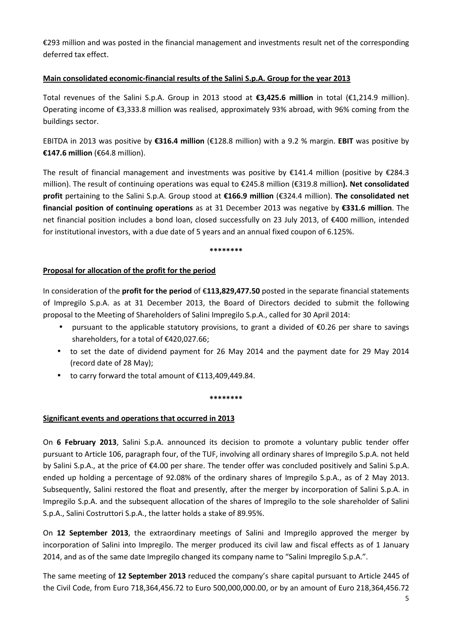€293 million and was posted in the financial management and investments result net of the corresponding deferred tax effect.

# **Main consolidated economic-financial results of the Salini S.p.A. Group for the year 2013**

Total revenues of the Salini S.p.A. Group in 2013 stood at **€3,425.6 million** in total (€1,214.9 million). Operating income of €3,333.8 million was realised, approximately 93% abroad, with 96% coming from the buildings sector.

EBITDA in 2013 was positive by **€316.4 million** (€128.8 million) with a 9.2 % margin. **EBIT** was positive by **€147.6 million** (€64.8 million).

The result of financial management and investments was positive by €141.4 million (positive by €284.3 million). The result of continuing operations was equal to €245.8 million (€319.8 million**). Net consolidated profit** pertaining to the Salini S.p.A. Group stood at **€166.9 million** (€324.4 million). **The consolidated net financial position of continuing operations** as at 31 December 2013 was negative by **€331.6 million**. The net financial position includes a bond loan, closed successfully on 23 July 2013, of €400 million, intended for institutional investors, with a due date of 5 years and an annual fixed coupon of 6.125%.

#### **\*\*\*\*\*\*\*\***

## **Proposal for allocation of the profit for the period**

In consideration of the **profit for the period** of €**113,829,477.50** posted in the separate financial statements of Impregilo S.p.A. as at 31 December 2013, the Board of Directors decided to submit the following proposal to the Meeting of Shareholders of Salini Impregilo S.p.A., called for 30 April 2014:

- pursuant to the applicable statutory provisions, to grant a divided of €0.26 per share to savings shareholders, for a total of €420,027.66;
- to set the date of dividend payment for 26 May 2014 and the payment date for 29 May 2014 (record date of 28 May);
- to carry forward the total amount of €113,409,449.84.

**\*\*\*\*\*\*\*\*** 

# **Significant events and operations that occurred in 2013**

On **6 February 2013**, Salini S.p.A. announced its decision to promote a voluntary public tender offer pursuant to Article 106, paragraph four, of the TUF, involving all ordinary shares of Impregilo S.p.A. not held by Salini S.p.A., at the price of €4.00 per share. The tender offer was concluded positively and Salini S.p.A. ended up holding a percentage of 92.08% of the ordinary shares of Impregilo S.p.A., as of 2 May 2013. Subsequently, Salini restored the float and presently, after the merger by incorporation of Salini S.p.A. in Impregilo S.p.A. and the subsequent allocation of the shares of Impregilo to the sole shareholder of Salini S.p.A., Salini Costruttori S.p.A., the latter holds a stake of 89.95%.

On **12 September 2013**, the extraordinary meetings of Salini and Impregilo approved the merger by incorporation of Salini into Impregilo. The merger produced its civil law and fiscal effects as of 1 January 2014, and as of the same date Impregilo changed its company name to "Salini Impregilo S.p.A.".

The same meeting of **12 September 2013** reduced the company's share capital pursuant to Article 2445 of the Civil Code, from Euro 718,364,456.72 to Euro 500,000,000.00, or by an amount of Euro 218,364,456.72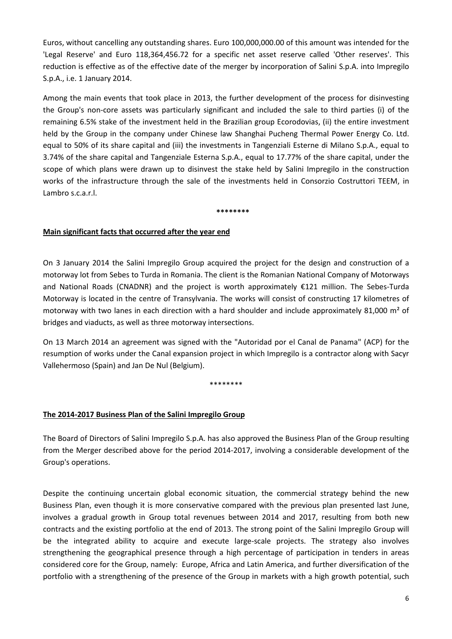Euros, without cancelling any outstanding shares. Euro 100,000,000.00 of this amount was intended for the 'Legal Reserve' and Euro 118,364,456.72 for a specific net asset reserve called 'Other reserves'. This reduction is effective as of the effective date of the merger by incorporation of Salini S.p.A. into Impregilo S.p.A., i.e. 1 January 2014.

Among the main events that took place in 2013, the further development of the process for disinvesting the Group's non-core assets was particularly significant and included the sale to third parties (i) of the remaining 6.5% stake of the investment held in the Brazilian group Ecorodovias, (ii) the entire investment held by the Group in the company under Chinese law Shanghai Pucheng Thermal Power Energy Co. Ltd. equal to 50% of its share capital and (iii) the investments in Tangenziali Esterne di Milano S.p.A., equal to 3.74% of the share capital and Tangenziale Esterna S.p.A., equal to 17.77% of the share capital, under the scope of which plans were drawn up to disinvest the stake held by Salini Impregilo in the construction works of the infrastructure through the sale of the investments held in Consorzio Costruttori TEEM, in Lambro s.c.a.r.l.

**\*\*\*\*\*\*\*\*** 

## **Main significant facts that occurred after the year end**

On 3 January 2014 the Salini Impregilo Group acquired the project for the design and construction of a motorway lot from Sebes to Turda in Romania. The client is the Romanian National Company of Motorways and National Roads (CNADNR) and the project is worth approximately €121 million. The Sebes-Turda Motorway is located in the centre of Transylvania. The works will consist of constructing 17 kilometres of motorway with two lanes in each direction with a hard shoulder and include approximately 81,000 m² of bridges and viaducts, as well as three motorway intersections.

On 13 March 2014 an agreement was signed with the "Autoridad por el Canal de Panama" (ACP) for the resumption of works under the Canal expansion project in which Impregilo is a contractor along with Sacyr Vallehermoso (Spain) and Jan De Nul (Belgium).

\*\*\*\*\*\*\*\*

# **The 2014-2017 Business Plan of the Salini Impregilo Group**

The Board of Directors of Salini Impregilo S.p.A. has also approved the Business Plan of the Group resulting from the Merger described above for the period 2014-2017, involving a considerable development of the Group's operations.

Despite the continuing uncertain global economic situation, the commercial strategy behind the new Business Plan, even though it is more conservative compared with the previous plan presented last June, involves a gradual growth in Group total revenues between 2014 and 2017, resulting from both new contracts and the existing portfolio at the end of 2013. The strong point of the Salini Impregilo Group will be the integrated ability to acquire and execute large-scale projects. The strategy also involves strengthening the geographical presence through a high percentage of participation in tenders in areas considered core for the Group, namely: Europe, Africa and Latin America, and further diversification of the portfolio with a strengthening of the presence of the Group in markets with a high growth potential, such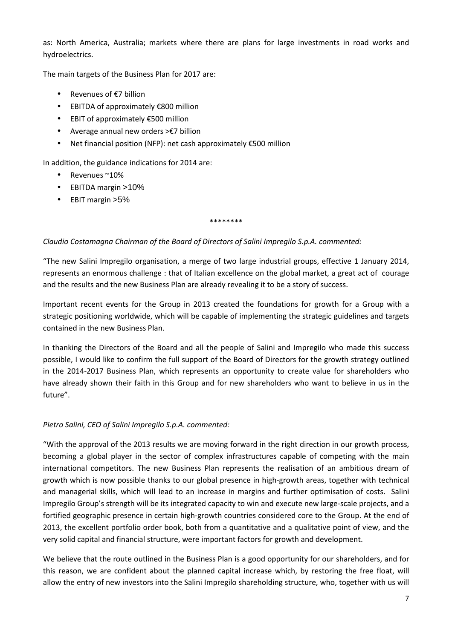as: North America, Australia; markets where there are plans for large investments in road works and hydroelectrics.

The main targets of the Business Plan for 2017 are:

- Revenues of €7 billion
- EBITDA of approximately €800 million
- EBIT of approximately €500 million
- Average annual new orders >€7 billion
- Net financial position (NFP): net cash approximately €500 million

In addition, the guidance indications for 2014 are:

- Revenues ~10%
- EBITDA margin >10%
- EBIT margin >5%

#### \*\*\*\*\*\*\*\*

# *Claudio Costamagna Chairman of the Board of Directors of Salini Impregilo S.p.A. commented:*

"The new Salini Impregilo organisation, a merge of two large industrial groups, effective 1 January 2014, represents an enormous challenge : that of Italian excellence on the global market, a great act of courage and the results and the new Business Plan are already revealing it to be a story of success.

Important recent events for the Group in 2013 created the foundations for growth for a Group with a strategic positioning worldwide, which will be capable of implementing the strategic guidelines and targets contained in the new Business Plan.

In thanking the Directors of the Board and all the people of Salini and Impregilo who made this success possible, I would like to confirm the full support of the Board of Directors for the growth strategy outlined in the 2014-2017 Business Plan, which represents an opportunity to create value for shareholders who have already shown their faith in this Group and for new shareholders who want to believe in us in the future".

# *Pietro Salini, CEO of Salini Impregilo S.p.A. commented:*

"With the approval of the 2013 results we are moving forward in the right direction in our growth process, becoming a global player in the sector of complex infrastructures capable of competing with the main international competitors. The new Business Plan represents the realisation of an ambitious dream of growth which is now possible thanks to our global presence in high-growth areas, together with technical and managerial skills, which will lead to an increase in margins and further optimisation of costs. Salini Impregilo Group's strength will be its integrated capacity to win and execute new large-scale projects, and a fortified geographic presence in certain high-growth countries considered core to the Group. At the end of 2013, the excellent portfolio order book, both from a quantitative and a qualitative point of view, and the very solid capital and financial structure, were important factors for growth and development.

We believe that the route outlined in the Business Plan is a good opportunity for our shareholders, and for this reason, we are confident about the planned capital increase which, by restoring the free float, will allow the entry of new investors into the Salini Impregilo shareholding structure, who, together with us will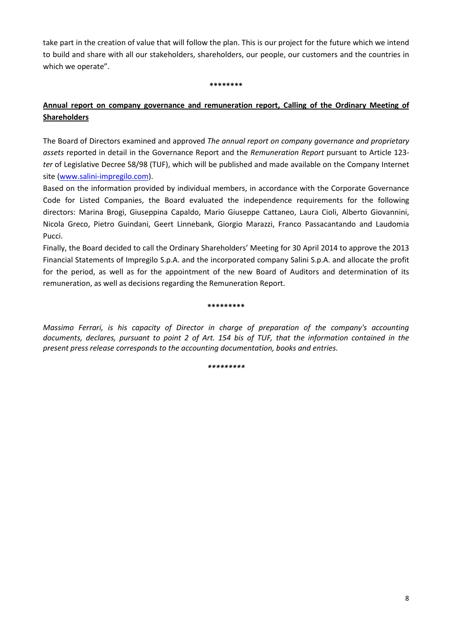take part in the creation of value that will follow the plan. This is our project for the future which we intend to build and share with all our stakeholders, shareholders, our people, our customers and the countries in which we operate".

**\*\*\*\*\*\*\*\*** 

# **Annual report on company governance and remuneration report, Calling of the Ordinary Meeting of Shareholders**

The Board of Directors examined and approved *The annual report on company governance and proprietary assets* reported in detail in the Governance Report and the *Remuneration Report* pursuant to Article 123 *ter* of Legislative Decree 58/98 (TUF), which will be published and made available on the Company Internet site (www.salini-impregilo.com).

Based on the information provided by individual members, in accordance with the Corporate Governance Code for Listed Companies, the Board evaluated the independence requirements for the following directors: Marina Brogi, Giuseppina Capaldo, Mario Giuseppe Cattaneo, Laura Cioli, Alberto Giovannini, Nicola Greco, Pietro Guindani, Geert Linnebank, Giorgio Marazzi, Franco Passacantando and Laudomia Pucci.

Finally, the Board decided to call the Ordinary Shareholders' Meeting for 30 April 2014 to approve the 2013 Financial Statements of Impregilo S.p.A. and the incorporated company Salini S.p.A. and allocate the profit for the period, as well as for the appointment of the new Board of Auditors and determination of its remuneration, as well as decisions regarding the Remuneration Report.

#### **\*\*\*\*\*\*\*\*\***

*Massimo Ferrari, is his capacity of Director in charge of preparation of the company's accounting documents, declares, pursuant to point 2 of Art. 154 bis of TUF, that the information contained in the present press release corresponds to the accounting documentation, books and entries.* 

*\*\*\*\*\*\*\*\*\**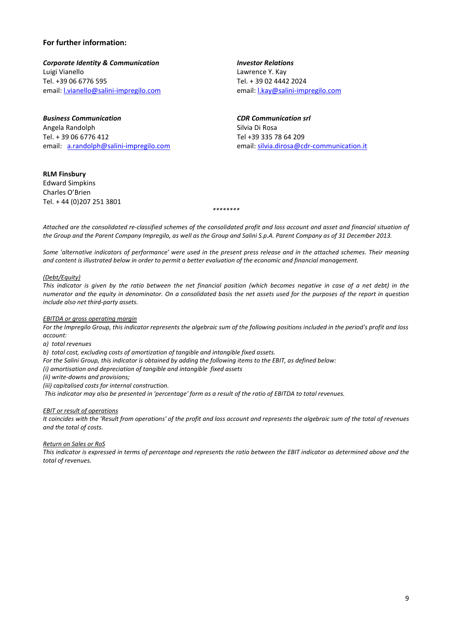#### **For further information:**

**Corporate Identity & Communication Investor Relations** Luigi Vianello Lawrence Y. Kay Tel. +39 06 6776 595 Tel. + 39 02 4442 2024 email: l.vianello@salini-impregilo.com email: l.kay@salini-impregilo.com

*Business Communication CDR Communication srl* Angela Randolph Silvia Di Rosa Tel. + 39 06 6776 412 Tel +39 335 78 64 209

**RLM Finsbury**  Edward Simpkins Charles O'Brien Tel. + 44 (0)207 251 3801

email: a.randolph@salini-impregilo.com email: silvia.dirosa@cdr-communication.it

*Attached are the consolidated re-classified schemes of the consolidated profit and loss account and asset and financial situation of the Group and the Parent Company Impregilo, as well as the Group and Salini S.p.A. Parent Company as of 31 December 2013.* 

*\*\*\*\*\*\*\*\** 

*Some 'alternative indicators of performance' were used in the present press release and in the attached schemes. Their meaning and content is illustrated below in order to permit a better evaluation of the economic and financial management.* 

#### *(Debt/Equity)*

*This indicator is given by the ratio between the net financial position (which becomes negative in case of a net debt) in the numerator and the equity in denominator. On a consolidated basis the net assets used for the purposes of the report in question include also net third-party assets.*

#### *EBITDA or gross operating margin*

*For the Impregilo Group, this indicator represents the algebraic sum of the following positions included in the period's profit and loss account:* 

*a) total revenues* 

*b) total cost, excluding costs of amortization of tangible and intangible fixed assets.* 

*For the Salini Group, this indicator is obtained by adding the following items to the EBIT, as defined below:* 

*(i) amortisation and depreciation of tangible and intangible fixed assets* 

*(ii) write-downs and provisions;* 

*(iii) capitalised costs for internal construction.* 

 *This indicator may also be presented in 'percentage' form as a result of the ratio of EBITDA to total revenues.* 

#### *EBIT or result of operations*

*It coincides with the 'Result from operations' of the profit and loss account and represents the algebraic sum of the total of revenues and the total of costs.* 

*Return on Sales or RoS* 

*This indicator is expressed in terms of percentage and represents the ratio between the EBIT indicator as determined above and the total of revenues.*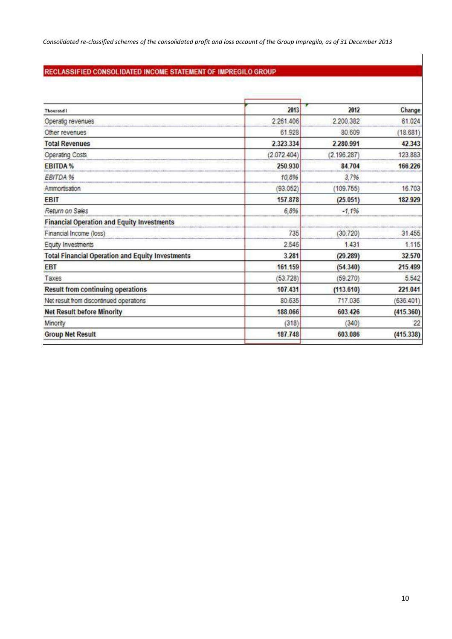# RECLASSIFIED CONSOLIDATED INCOME STATEMENT OF IMPREGILO GROUP

| <b>Thousand!</b>                                        | 2013        | 2012        | Change    |
|---------------------------------------------------------|-------------|-------------|-----------|
| Operatig revenues                                       | 2.261.406   | 2.200.382   | 61.024    |
| Other revenues                                          | 61.928      | 80.609      | (18.681)  |
| <b>Total Revenues</b>                                   | 2.323.334   | 2.280.991   | 42.343    |
| Operating Costs                                         | (2.072.404) | (2.196.287) | 123.883   |
| <b>EBITDA%</b>                                          | 250.930     | 84.704      | 166,226   |
| EBITDA %                                                | 10,8%       | 3,7%        |           |
| Ammortisation                                           | 93.052      | (109.755)   | 16.703    |
| <b>EBIT</b>                                             | 157,878     | (25.051)    | 182.929   |
| Return on Sales                                         | 6,8%<br>    | $-1.196$    |           |
| <b>Financial Operation and Equity Investments</b>       |             |             |           |
| Financial Income (loss)                                 | 735<br>     | (30.720)    | 31.455    |
| Equity Investments                                      | 2.546       | 1.431       | 1.115     |
| <b>Total Financial Operation and Equity Investments</b> | 3.281       | (29.289)    | 32.570    |
| <b>EBT</b>                                              | 161.159     | (54.340)    | 215.499   |
| Taxes                                                   | (53.728)    | (59.270)    | 5.542     |
| <b>Result from continuing operations</b>                | 107.431     | (113.610)   | 221.041   |
| Net result from discontinued operations                 | 80.635      | 717.036     | (636.401) |
| <b>Net Result before Minority</b>                       | 188.066     | 603.426     | (415.360) |
| Minority                                                | (318)       | (340)       | 22        |
| <b>Group Net Result</b>                                 | 187.748     | 603.086     | (415.338) |
|                                                         |             |             |           |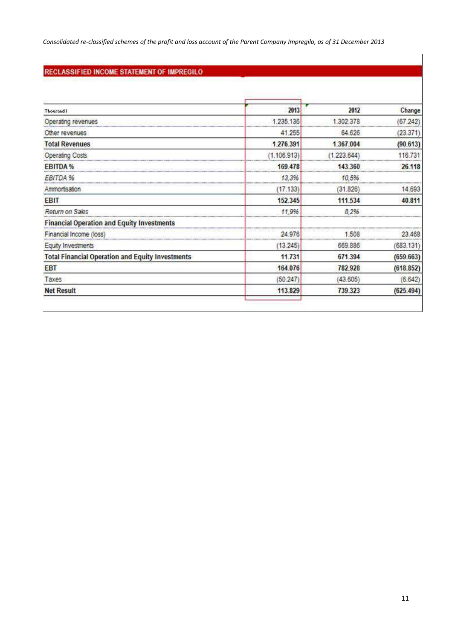*Consolidated re-classified schemes of the profit and loss account of the Parent Company Impregilo, as of 31 December 2013* 

# RECLASSIFIED INCOME STATEMENT OF IMPREGILO

| Thousand I                                                     | 2013                                            | 2012                                      | Change    |
|----------------------------------------------------------------|-------------------------------------------------|-------------------------------------------|-----------|
| Operating revenues                                             | 1.235.136                                       | 1.302.378                                 | (67.242)  |
| Other revenues                                                 | ***********************<br>----------<br>41.255 | 64.626                                    | (23.371)  |
| <b>Total Revenues</b>                                          | 1.276.391                                       | 1.367.004                                 | (90.613)  |
| <b>Operating Costs</b>                                         | 1.106.913)                                      | (1.223.644)                               | 116.731   |
| <b>EBITDA%</b><br>                                             | 169,478<br>---------------------------          | 143.360                                   | 26.118    |
| EBITDA %                                                       | 13,3%<br>,,,,,,,,,,,,,,,,,,,,,,,,,,,,           | 10,5%<br><br>**************************** |           |
| Ammortisation                                                  | (17.133)                                        | (31.826)                                  | 14.693    |
| <b>EBIT</b>                                                    | 152.345                                         | 111.534                                   | 40.811    |
| Return on Sales                                                | 11,9%<br>                                       | 8,2%<br>**********************<br>        |           |
| <b>Financial Operation and Equity Investments</b>              |                                                 |                                           |           |
| Financial Income (loss)<br>----------------------------------- | 24.976                                          | 1.508<br>,,,,,,,,,,,,,,,,,,,,,,,,         | 23.468    |
| Equity Investments                                             | ,,,,,,,,,,,,,,,,,,,,,,,,,,,<br>(13.245)         | 669.886                                   | (683.131) |
| <b>Total Financial Operation and Equity Investments</b>        | 11.731                                          | 671,394                                   | (659.663) |
| <b>EBT</b>                                                     | 164.076                                         | 782.928                                   | (618.852) |
| Taxes                                                          | (50.247)                                        | (43.605)                                  | (6.642)   |
| <b>Net Result</b>                                              | 113.829                                         | 739.323                                   | (625.494) |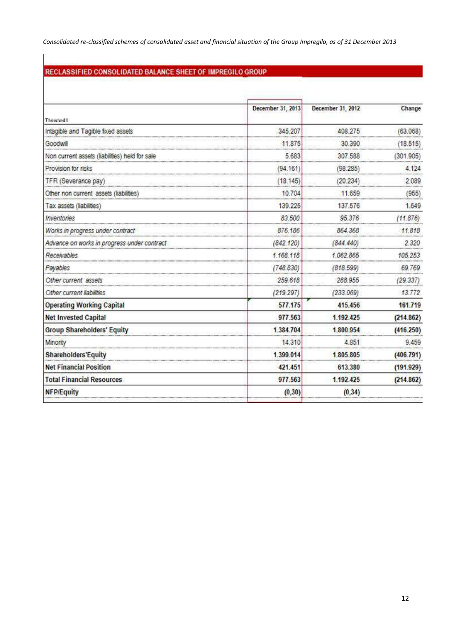*Consolidated re-classified schemes of consolidated asset and financial situation of the Group Impregilo, as of 31 December 2013* 

# RECLASSIFIED CONSOLIDATED BALANCE SHEET OF IMPREGILO GROUP

|                                                | December 31, 2013 | December 31, 2012 | Change    |
|------------------------------------------------|-------------------|-------------------|-----------|
| <b>Thousand I</b>                              |                   |                   |           |
| Intagible and Tagible fixed assets             | 345,207           | 408,275           | (63.068)  |
| Goodwill                                       | 11.875            | 30.390            | (18.515)  |
| Non current assets (liabilities) held for sale | 5.683             | 307.588           | (301.905) |
| Provision for risks                            | (94.161)          | (98.285)          | 4.124     |
| TFR (Severance pay)                            | (18.145)          | (20.234)          | 2089      |
| Other non current assets (liabilities)         | 10,704            | 11.659            | (955)     |
| Tax assets (liabilities)                       | 139.225           | 137.576           | 1.649     |
| Inventories                                    | 83.500            | 95.376            | (11.876)  |
| Works in progress under contract               | 876.186           | 864 368           | 11.818    |
| Advance on works in progress under contract    | (842.120)         | (844, 440)        | 2.320     |
| Receivables                                    | 1.168.118         | 1.062.865         | 105.253   |
| Payables                                       | (748.830)         | (818.599)         | 69.769    |
| Other current assets                           | 259.618           | 288.955           | (29.337)  |
| Other current liabilities                      | (219.297)         | (233.069)         | 13.772    |
| <b>Operating Working Capital</b>               | 577.175           | 415.456           | 161.719   |
| <b>Net Invested Capital</b>                    | 977.563           | 1.192.425         | (214.862) |
| <b>Group Shareholders' Equity</b>              | 1.384.704         | 1.800.954         | (416.250) |
| Minority                                       | 14.310            | 4.851             | 9.459     |
| <b>Shareholders'Equity</b>                     | 1.399.014         | 1,805.805         | (406.791) |
| <b>Net Financial Position</b>                  | 421.451           | 613.380           | (191.929) |
| <b>Total Financial Resources</b>               | 977.563           | 1.192.425         | (214.862) |
| <b>NFP/Equity</b>                              | (0, 30)           | (0, 34)           |           |
|                                                |                   |                   |           |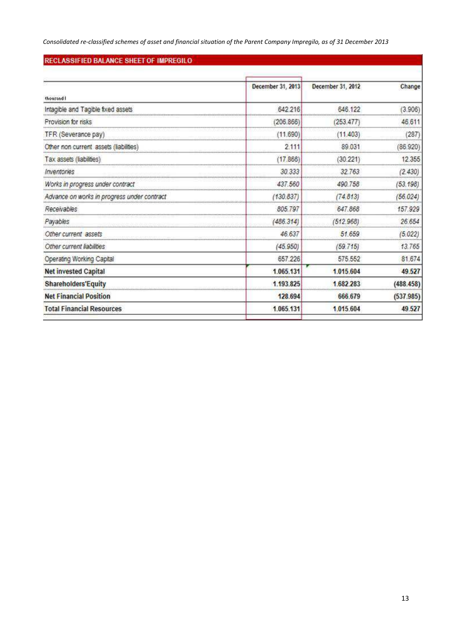*Consolidated re-classified schemes of asset and financial situation of the Parent Company Impregilo, as of 31 December 2013* 

## RECLASSIFIED BALANCE SHEET OF IMPREGILO

|                                             | December 31, 2013                            | December 31, 2012 | Change    |
|---------------------------------------------|----------------------------------------------|-------------------|-----------|
| thousand I                                  |                                              |                   |           |
| Intagible and Tagible fixed assets          | 642.216                                      | 646.122           | (3.906)   |
| Provision for risks                         | (206.866)                                    | (253.477)         | 46.611    |
| TFR (Severance pay)                         | (11.690)                                     | (11.403)          | (287)     |
| Other non current assets (liabilities)      | 2.111                                        | 89.031            | (86.920)  |
| Tax assets (liabilities)                    | (17.866)                                     | (30.221)          | 12,355    |
| Inventones                                  | 30.333                                       | 32.763            | (2.430)   |
| Works in progress under contract            | 437.560                                      | 490 758           | (53.198)  |
| Advance on works in progress under contract | (130.837)                                    | (74.813)          | (56.024)  |
| Receivables                                 | 805.797                                      | 647.868           | 157.929   |
| Payables                                    | (486.314)                                    | (512.968)         | 26.654    |
| Other current assets                        | 46,637                                       | 51.659            | (5.022)   |
| Other current liabilities                   | (45.950)                                     | (59.715)          | 13.765    |
| Operating Working Capital                   | 657.226                                      | 575.552           | 81.674    |
| <b>Net invested Capital</b>                 | 1.065.131                                    | 1.015.604         | 49.527    |
| <b>Shareholders'Equity</b>                  | 1.193.825<br>******************************* | 1.682.283         | (488.458) |
| <b>Net Financial Position</b>               | 128.694                                      | 666.679           | (537.985) |
| <b>Total Financial Resources</b>            | 1.065.131                                    | 1.015.604         | 49.527    |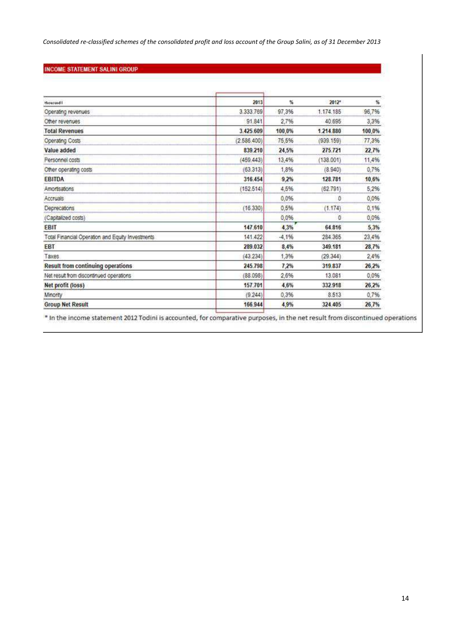*Consolidated re-classified schemes of the consolidated profit and loss account of the Group Salini, as of 31 December 2013* 

## **INCOME STATEMENT SALINI GROUP**

| thousand!                                         | 2013         | 駈       | $2012$ <sup>*</sup> | 紫      |
|---------------------------------------------------|--------------|---------|---------------------|--------|
| Operating revenues                                | 3.333.769    | 97,3%   | 1.174.185           | 96,7%  |
| Other revenues                                    | 91.841       | 2,7%    | 40.695              | 3,3%   |
| <b>Total Revenues</b>                             | 3.425.609    | 100,0%  | 1.214.880           | 100,0% |
| Operating Costs                                   | (2.586, 400) | 75.5%   | (939.159)           | 77,3%  |
| Value added                                       | 839.210      | 24.5%   | 275.721             | 22.7%  |
| Personnel costs                                   | (459.443)    | 13,4%   | (138.001)           | 11,4%  |
| Other operating costs                             | (63, 313)    | 1,8%    | (8.940)             | 0.7%   |
| <b>EBITDA</b>                                     | 316.454      | 9.2%    | 128.781             | 10.6%  |
| Amortsations                                      | (152.514)    | 4,5%    | (62.791)            | 5,2%   |
| Accruais                                          |              | 0.0%    | ٥                   | 0,0%   |
| Deprecations                                      | (16.330)     | 0.5%    | (1.174)             | 0,1%   |
| (Capitalized costs)                               |              | 0.0%    | a                   | 0.0%   |
| <b>EBIT</b>                                       | 147,610      | 4,3%    | 64.816              | 5.3%   |
| Total Financial Operation and Equity Investments. | 141.422      | $-4,1%$ | 284,365             | 23,4%  |
| EBT                                               | 289.032      | 8,4%    | 349.181             | 28,7%  |
| Taxes                                             | (43.234)     | 1,3%    | (29.344)            | 2,4%   |
| Result from continuing operations                 | 245,798      | 7.2%    | 319,837             | 26,2%  |
| Net result from discontinued operations           | (88.098)     | 2.6%    | 13.081              | 0,0%   |
| Net profit (loss)                                 | 157.701      | 4.6%    | 332.918             | 26,2%  |
| Minority                                          | (9.244)      | 0.3%    | 8.513               | 0,7%   |
| <b>Group Net Result</b>                           | 166.944      | 4,9%    | 324.405             | 26,7%  |

\*In the income statement 2012 Todini is accounted, for comparative purposes, in the net result from discontinued operations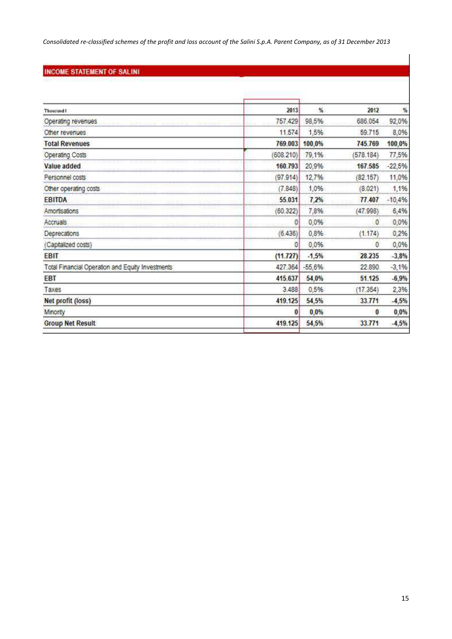*Consolidated re-classified schemes of the profit and loss account of the Salini S.p.A. Parent Company, as of 31 December 2013* 

# **INCOME STATEMENT OF SALINI**

| Thousand I                                       | 2013      | %        | 2012                       | 暢        |
|--------------------------------------------------|-----------|----------|----------------------------|----------|
| Operating revenues<br>                           | 757,429   | 98,5%    | 686.054                    | 92,0%    |
| Other revenues                                   | 11,574    | 1,5%     | 59.715                     | 8,0%     |
| <b>Total Revenues</b>                            | 769.003   | 100,0%   | 745.769                    | 100,0%   |
| <b>Operating Costs</b>                           | (608.210) | 79,1%    | (578.184                   | 77,5%    |
| Value added                                      | 160.793   | 20,9%    | 167.585<br>                | $-22,5%$ |
| Personnel costs                                  | (97.914)  | 12,7%    | (82.157)                   | 11,0%    |
| Other operating costs                            | (7.848)   | 1,0%     | (8.021)                    | 1,1%     |
| <b>EBITDA</b><br>*********                       | 55.031    | 7.2%     | 77,407<br>**************** | $-10,4%$ |
| Amortisations                                    | (60.322)  | 7,8%     | (47.998)                   | 6,4%     |
| Accruals                                         | O         | 0,0%     | 0                          | 0,0%     |
| Deprecations<br>********************             | (6.436)   | 0,8%     | (1.174)                    | 0,2%     |
| (Capitalized costs)                              | O         | 0,0%     | 0                          | 0,0%     |
| EBIT                                             | (11.727)  | $-1,5%$  | 28.235                     | $-3,8%$  |
| Total Financial Operation and Equity Investments | 427.364   | $-55,6%$ | 22.890                     | $-3,1%$  |
| EBT                                              | 415.637   | 54,0%    | 51.125                     | $-6,9%$  |
| Taxes                                            | 3.488     | 0,5%     | (17.354)                   | 2,3%     |
| Net profit (loss)                                | 419.125   | 54,5%    | 33.771                     | $-4,5%$  |
| Minorsy                                          | O         | 0,0%     | $\bf{0}$                   | 0,0%     |
| <b>Group Net Result</b>                          | 419.125   | 54,5%    | 33.771                     | $-4,5%$  |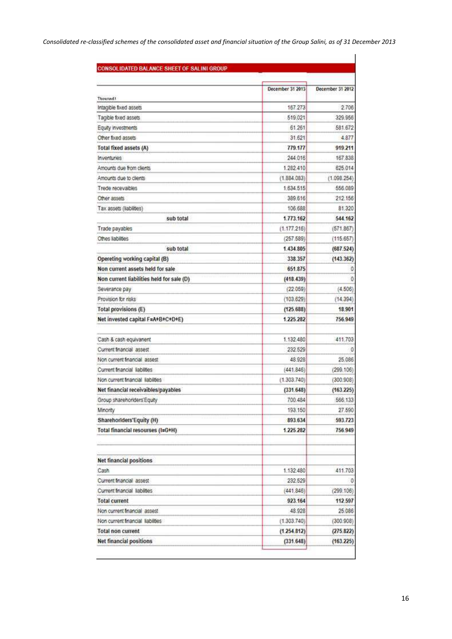| CONSOLIDATED BALANCE SHEET OF SALINI GROUP. |  |  |
|---------------------------------------------|--|--|

|                                                              | December 31 2013 | December 31 2012 |
|--------------------------------------------------------------|------------------|------------------|
| <b>Thousand!</b>                                             |                  |                  |
| Intagible fixed assets                                       | 167.273          | 2.706            |
| Tagible fixed assets                                         | 519.021          | 329.956          |
| Equity investments                                           | 61.261           | 581.672          |
| Other fixed assets                                           | 31.621           | 4.877            |
| <b>Total fixed assets (A)</b>                                | 779.177          | 919 211          |
| Inventuries                                                  | 244.016          | 167.838          |
| Amounts due from clients                                     | 1.282.410        | 625.014          |
| Amounts due to clients                                       | (1.884.083)      | (1.098.254)      |
| Trede recevables                                             | 1.634.515        | 556.089          |
| Other assets                                                 | 389,616          | 212.156          |
| Tax assets (liabilities)                                     | 106,688          | 81.320           |
| sub total                                                    | 1.773.162        | 544.162          |
| Trade payables                                               | (1.177.216)      | (571.867)        |
| Othes Itabilities                                            | (257.589)        | (115.657)        |
| sub total                                                    | 1.434.805        | (687.524)        |
| Opereting working capital (B)                                | 338 357          | (143.362)        |
| Non current assets held for sale                             | 651.875          | 0                |
| <b>FISHISTS</b><br>Non current liabilities held for sale (D) | (418.439)        | Đ                |
| Severance pay                                                | (22.059)         | (4.506)          |
| Provision for risks                                          | (103.629)        | (14.394)         |
| Total provisions (E)                                         | (125.688)        | 18 901           |
| Net invested capital F=A+B+C+D+E)                            | 1225.282         | 756.949          |
| Cash & cash equivanent                                       | 1.132.480        | 411,703          |
| Current financial assest                                     | 232.529          | Û                |
| Non current financial assest                                 | 48.928           | 25.086           |
| Current Inancial liabilities                                 | (441.846)        | (299.106)        |
| Non current triancial liabilities                            | (1.303.740)      | (300.908)        |
| Net financial receivaibles/payables                          | (331.648)        | (163.225)        |
| Group sharehoriders Equity                                   | 700.484          | 566.133          |
| Minority                                                     | 193.150          | 27.590           |
| Sharehoriders'Equity (H)                                     | 893.634          | 593.723          |
| Total financial resourses (I=G+H)                            | 1.225.282        | 756.949          |
| <b>Net financial positions</b>                               |                  |                  |
| Cash                                                         | 1.132.480        | 411.703          |
| Current financial assest                                     | 232.529          | O                |
| Current financial liabilities                                | (441.846)        | (299.106)        |
| <b>Total current</b>                                         | 923.164          | 112.597          |
| Non current financial assest                                 | 48.928           | 25.086           |
| Non current financial liabilities                            | (1.303.740)      | (300.908)        |
| <b>Total non current</b>                                     | (1.254.812)      | (275.822)        |
| <b>Net financial positions</b>                               | (331.648)        | (163.225)        |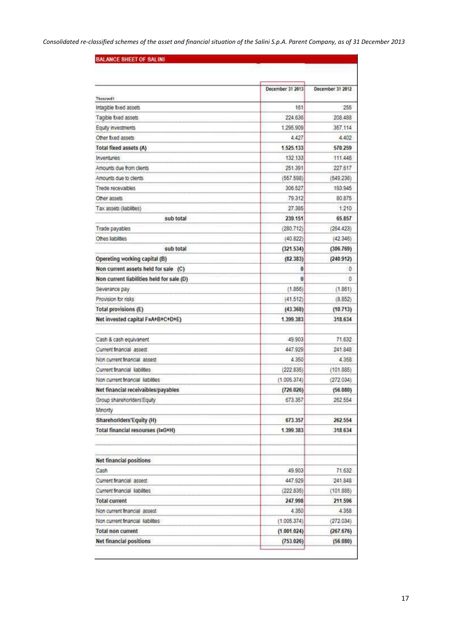| <b>BALANCE SHEET OF SALINI</b>            |                  |                  |  |
|-------------------------------------------|------------------|------------------|--|
|                                           |                  |                  |  |
|                                           | December 31 2013 | December 31 2012 |  |
| <b>Thousand!</b>                          |                  |                  |  |
| Intagible fixed assets                    | 161              | 255              |  |
| Tagible fixed assets                      | 224.636          | 208.488          |  |
| Equity investments                        | 1.295.909        | 357,114          |  |
| Other fixed assets                        | 4,427            | 4,402            |  |
| <b>Total fixed assets (A)</b>             | 1.525.133        | 570.259          |  |
| Inventuries                               | 132.133          | 111.446          |  |
| Amounts due from clients                  | 251.391          | 227.617          |  |
| Amounts due to clients                    | (557.598)        | (549.236)        |  |
| Trede recevables                          | 306.527          | 193.945          |  |
| Other assets                              | 79.312           | 80.875           |  |
| Tax assets (liabilities)                  | 27.385           | 1.210            |  |
| sub total                                 | 239.151          | 65.857           |  |
| Trade payables                            | (280.712)        | (264.423)        |  |
| Othes kabilities                          | (40.822)         | (42.346)         |  |
| sub total                                 | (321.534)        | (306.769)        |  |
| Opereting working capital (B)             | (82.383)         | (240.912)        |  |
| Non current assets held for sale (C)      | 0                | 0                |  |
| Non current liabilities held for sale (D) | $\bf{0}$         | a                |  |
| Severance pay                             | (1.856)          | (1.861)          |  |
| Provision for risks                       | (41.512)         | (8.852)          |  |
| Total provisions (E)                      | (43.368)         | (10.713)         |  |
| Net invested capital F=A+B+C+D+E)         | 1.399.383        | 318.634          |  |
| Cash & cash equivanent                    | 49.903           | 71.632           |  |
| Current financial assest                  | 447.929          | 241.848          |  |
| Non current financial assest              | 4.350            | 4.358            |  |
| Current Inancial liabilities              | (222.835)        | (101.885)        |  |
| Non current financial liabilities         | (1.005.374)      | (272.034)        |  |
| Net financial receivaibles/payables       | (726.026)        | (56.080)         |  |
| Group sharehoriders Equity                | 673.357          | 262.554          |  |
| Minority                                  |                  |                  |  |
| Sharehoriders'Equity (H)                  | 673.357          | 262.554          |  |
| Total financial resourses (I=G+H)         | 1.399.383        | 318.634          |  |
| <b>Net financial positions</b>            |                  |                  |  |
| Cash                                      | 49.903           | 71.632           |  |
| Current financial assest                  | 447,929          | 241.848          |  |
| Current financial liabilities             | (222.835)        | (101.885)        |  |
| <b>Total current</b>                      | 247.998          | 211.596          |  |
|                                           |                  |                  |  |
| Non current financial assest              | 4.350            | 4,358            |  |
| Non current financial liabilities         | (1.005.374)      | (272.034)        |  |
| <b>Total non current</b>                  | (1.001.024)      | (267.676)        |  |
| Net financial positions                   | (753.026)        | (56.080)         |  |